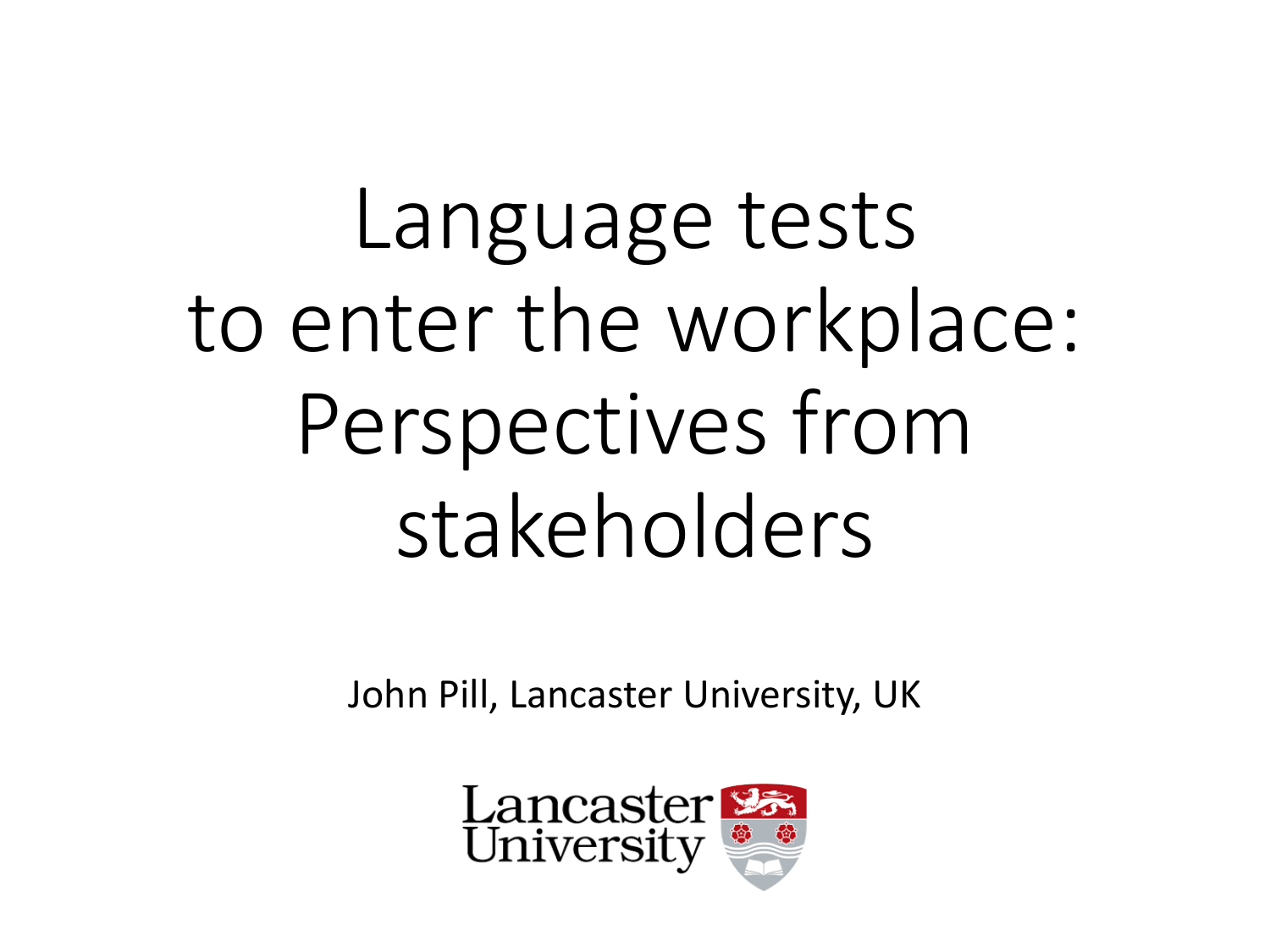Language tests to enter the workplace: Perspectives from stakeholders

John Pill, Lancaster University, UK

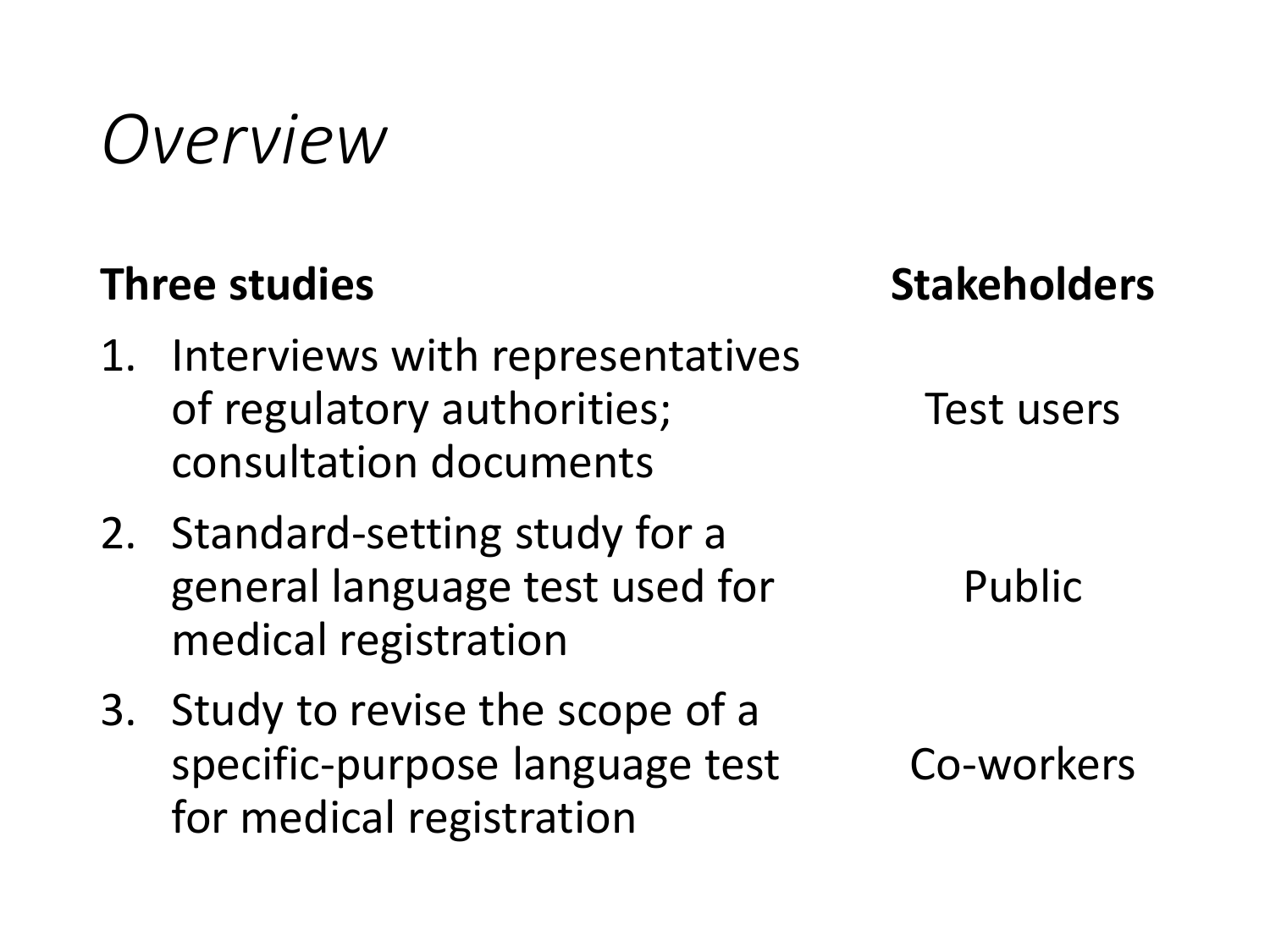### *Overview*

#### **Three studies**

- 1. Interviews with representatives of regulatory authorities; consultation documents
- 2. Standard-setting study for a general language test used for medical registration
- 3. Study to revise the scope of a specific-purpose language test for medical registration

**Stakeholders**

Test users

Public

Co-workers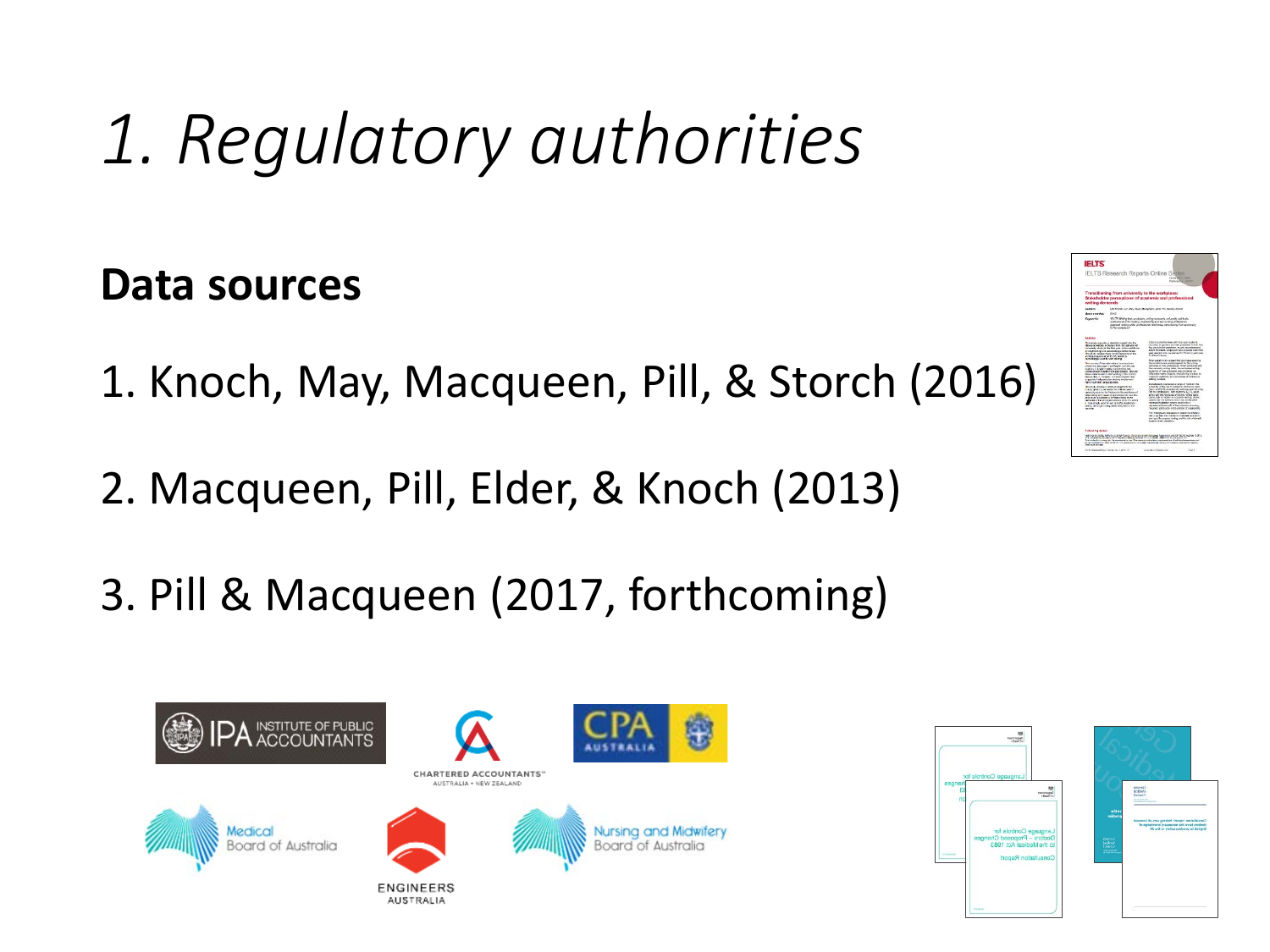#### **Data sources**

- 1. Knoch, May, Macqueen, Pill, & Storch (2016)
- 2. Macqueen, Pill, Elder, & Knoch (2013)
- 3. Pill & Macqueen (2017, forthcoming)







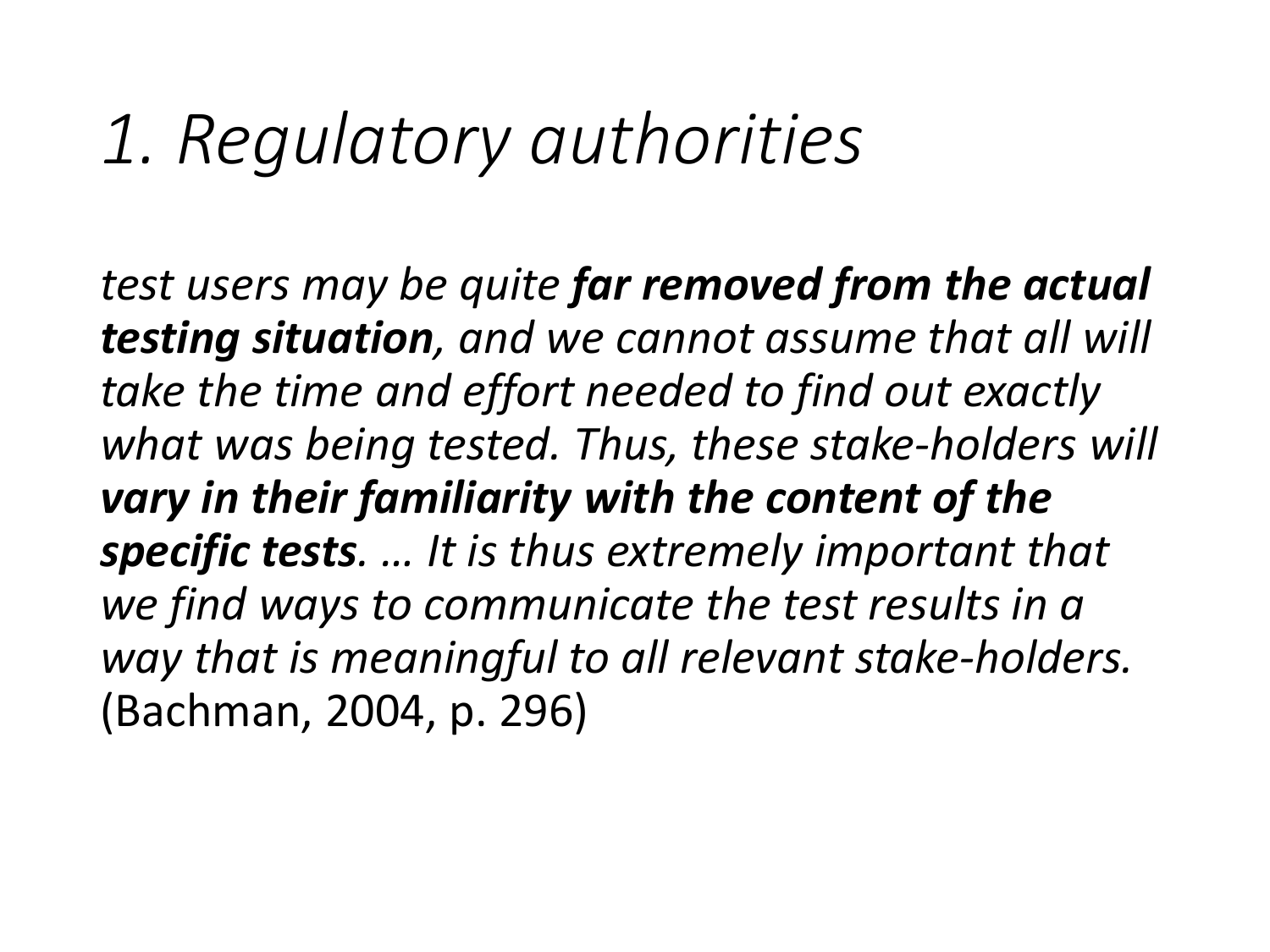*test users may be quite far removed from the actual testing situation, and we cannot assume that all will take the time and effort needed to find out exactly what was being tested. Thus, these stake-holders will vary in their familiarity with the content of the specific tests. … It is thus extremely important that we find ways to communicate the test results in a way that is meaningful to all relevant stake-holders.* (Bachman, 2004, p. 296)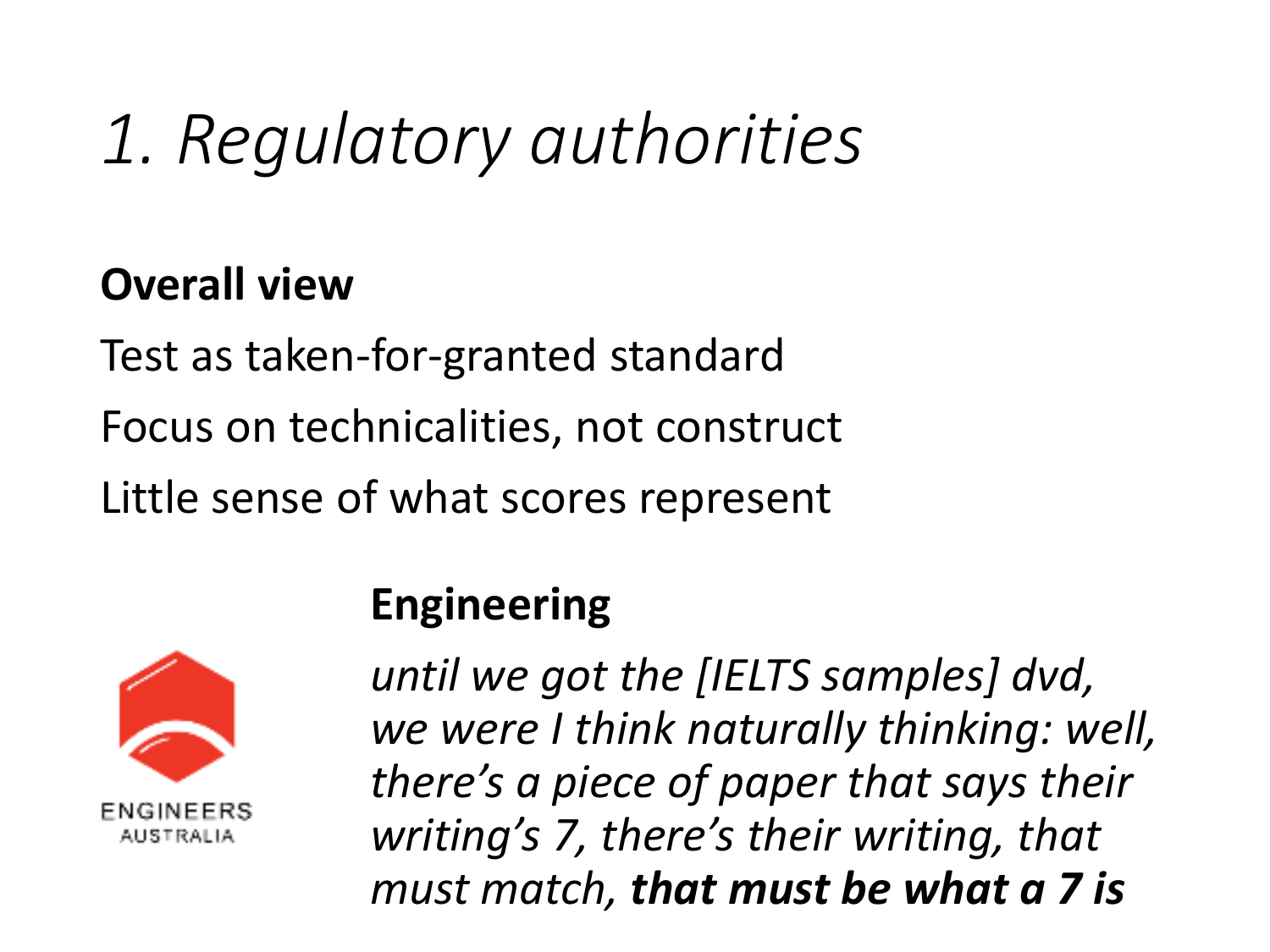#### **Overall view**

Test as taken-for-granted standard Focus on technicalities, not construct Little sense of what scores represent



#### **Engineering**

*until we got the [IELTS samples] dvd, we were I think naturally thinking: well, there's a piece of paper that says their writing's 7, there's their writing, that must match, that must be what a 7 is*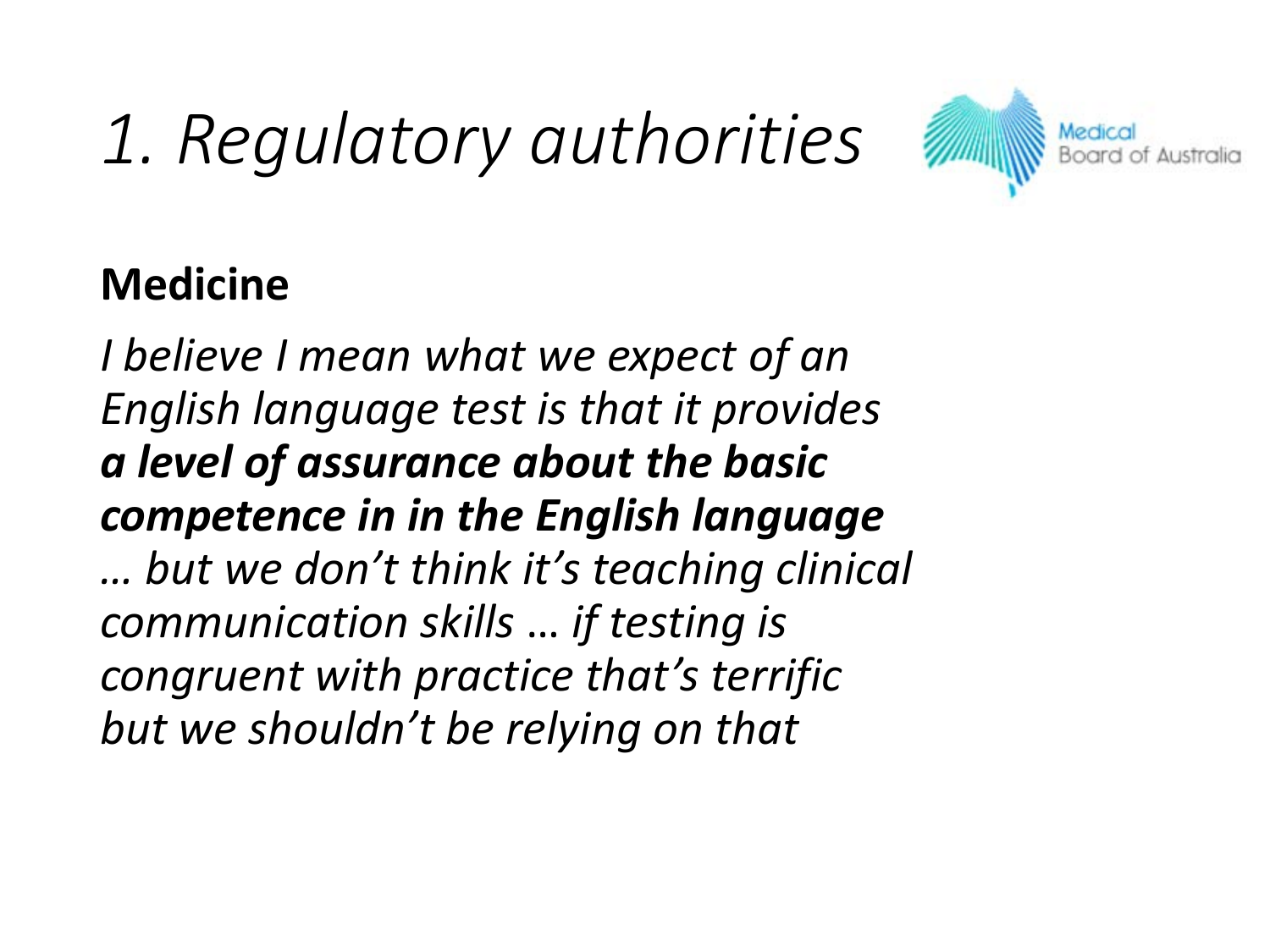

#### **Medicine**

*I believe I mean what we expect of an English language test is that it provides a level of assurance about the basic competence in in the English language … but we don't think it's teaching clinical communication skills* … *if testing is congruent with practice that's terrific but we shouldn't be relying on that*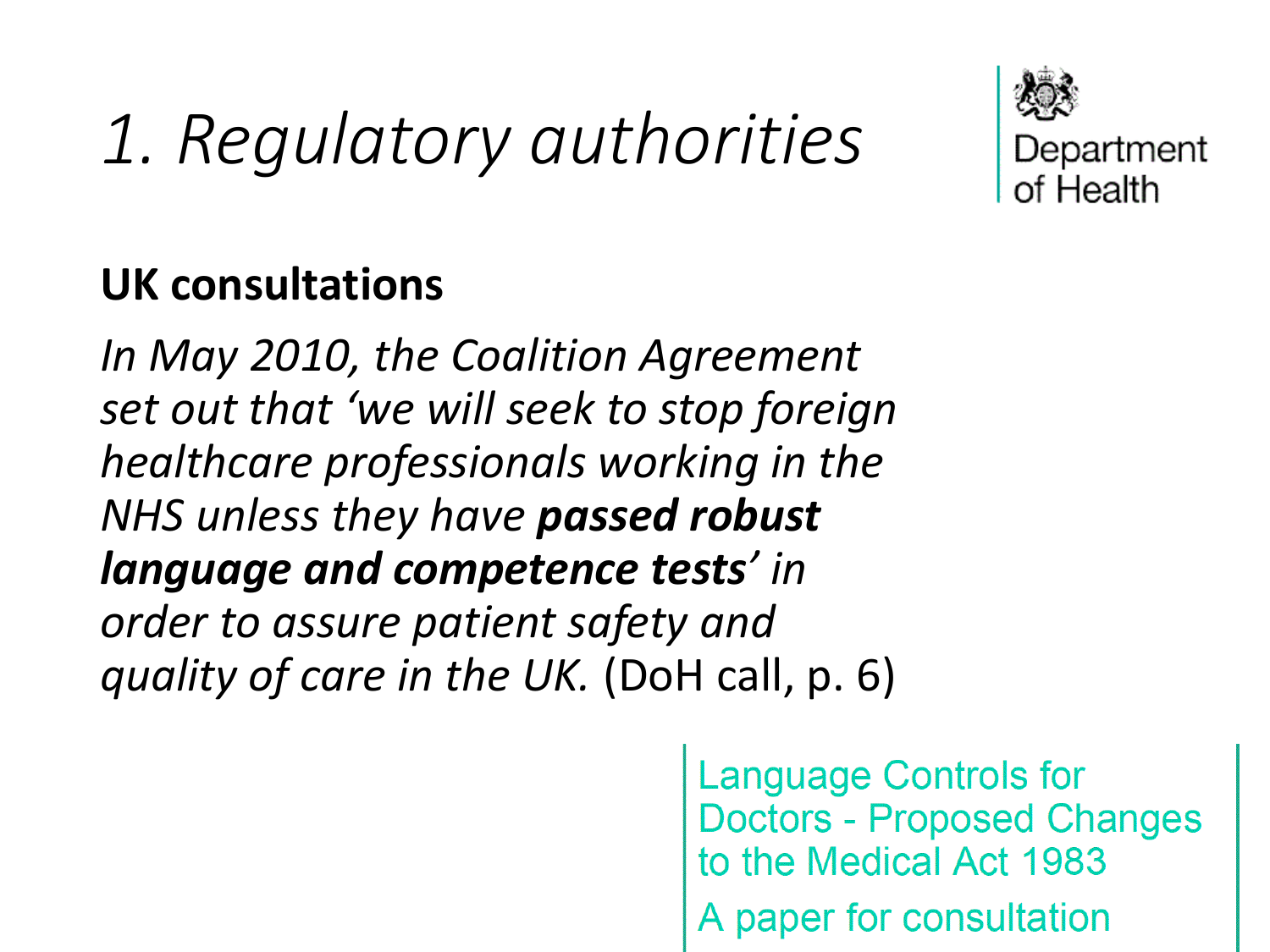

#### **UK consultations**

*In May 2010, the Coalition Agreement set out that 'we will seek to stop foreign healthcare professionals working in the NHS unless they have passed robust language and competence tests' in order to assure patient safety and quality of care in the UK.* (DoH call, p. 6)

> **Language Controls for Doctors - Proposed Changes** to the Medical Act 1983 A paper for consultation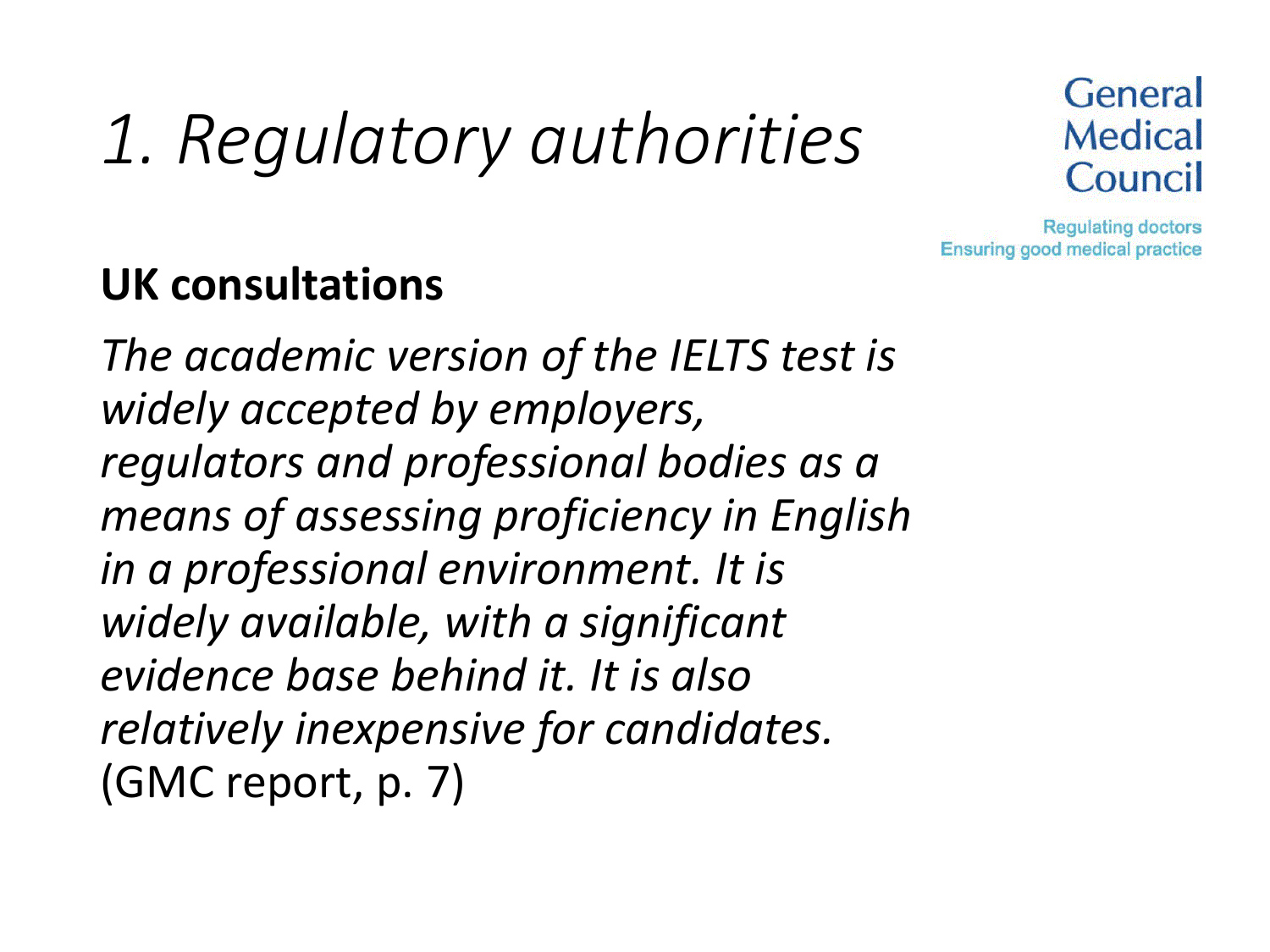

**Regulating doctors Ensuring good medical practice** 

#### **UK consultations**

*The academic version of the IELTS test is widely accepted by employers, regulators and professional bodies as a means of assessing proficiency in English in a professional environment. It is widely available, with a significant evidence base behind it. It is also relatively inexpensive for candidates.* (GMC report, p. 7)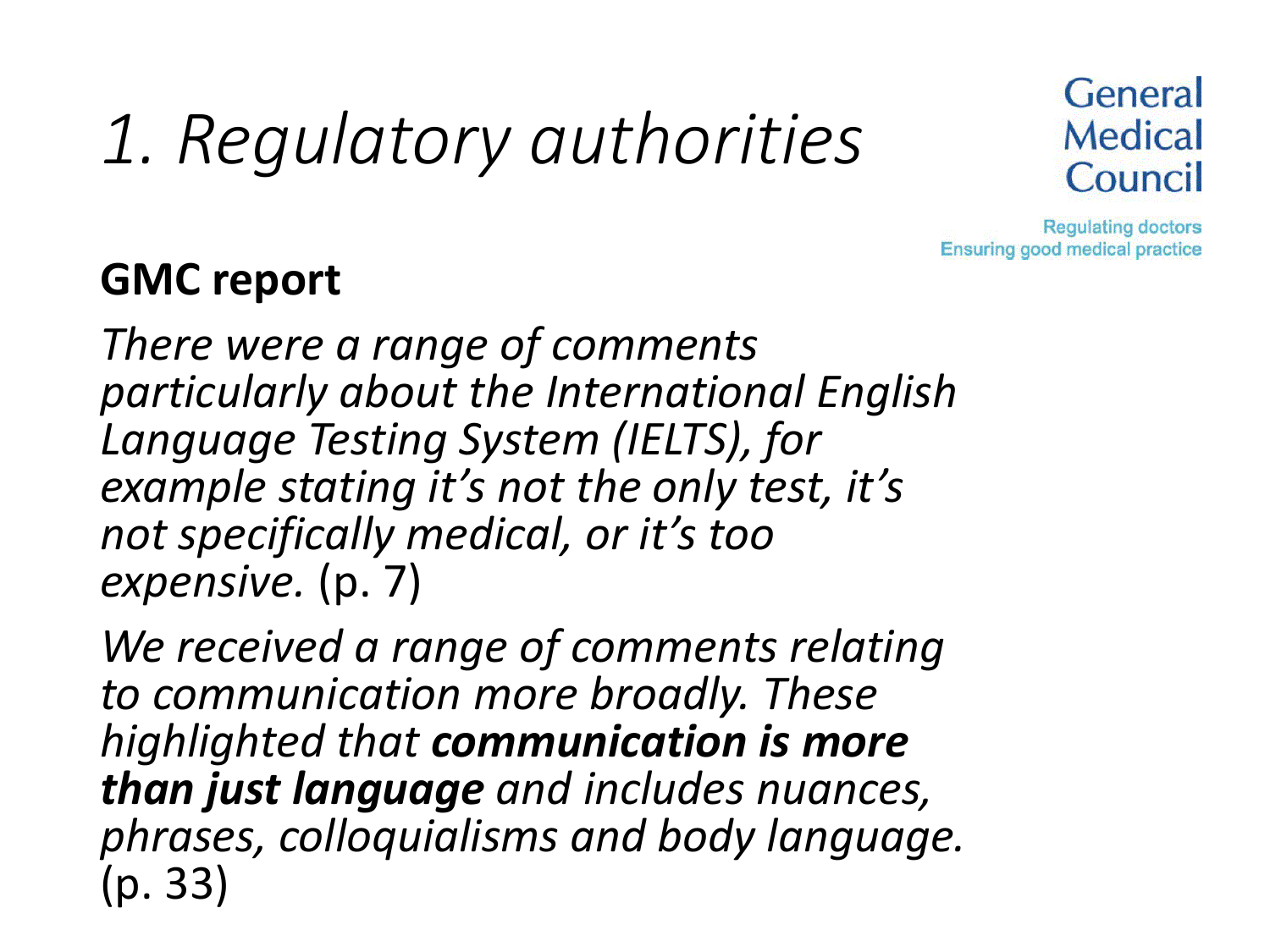

**Regulating doctors Ensuring good medical practice** 

#### **GMC report**

*There were a range of comments particularly about the International English Language Testing System (IELTS), for example stating it's not the only test, it's not specifically medical, or it's too expensive.* (p. 7)

*We received a range of comments relating to communication more broadly. These highlighted that communication is more than just language and includes nuances, phrases, colloquialisms and body language.*  (p. 33)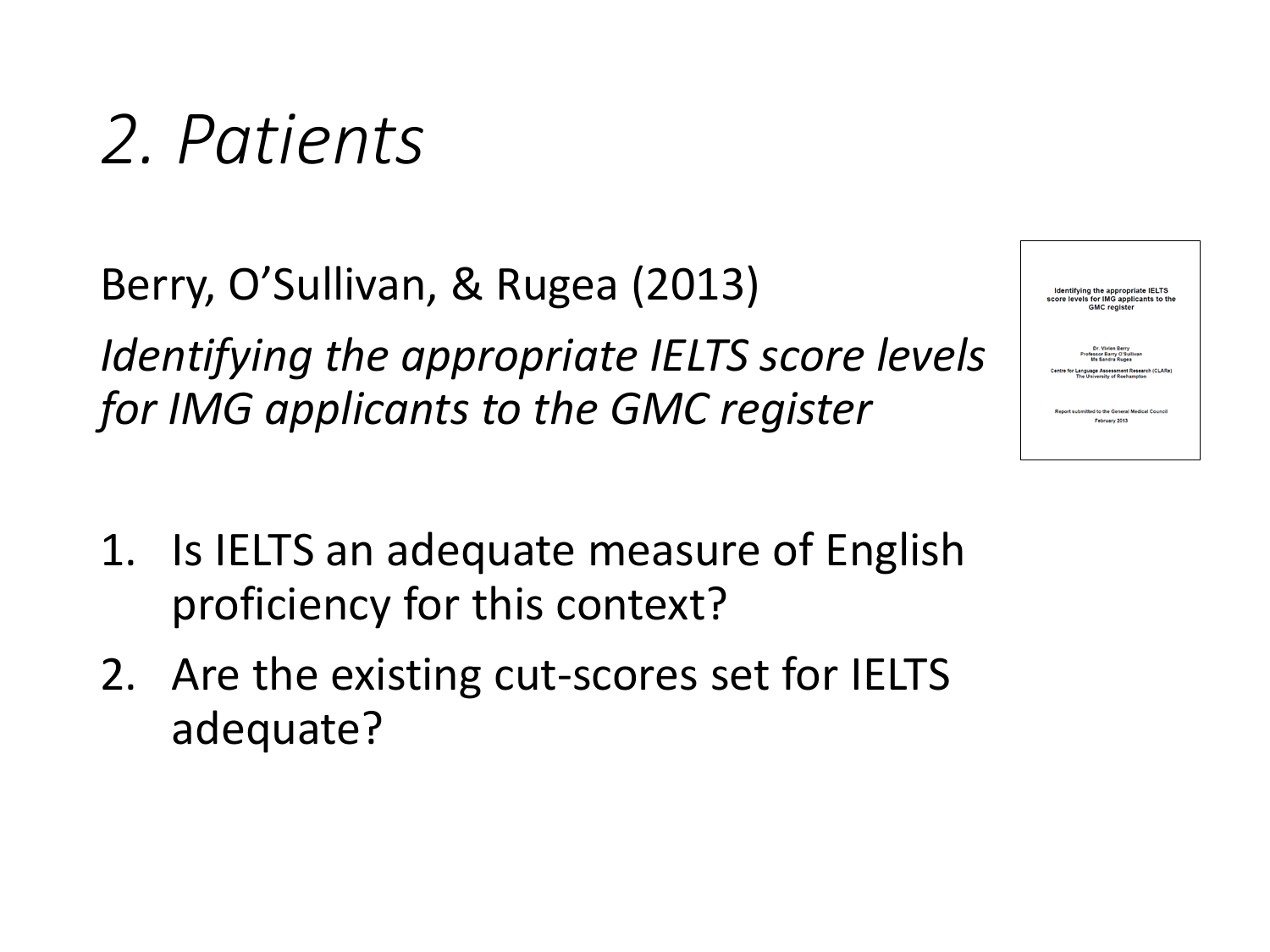Berry, O'Sullivan, & Rugea (2013) *Identifying the appropriate IELTS score levels for IMG applicants to the GMC register*

- 1. Is IELTS an adequate measure of English proficiency for this context?
- 2. Are the existing cut-scores set for IELTS adequate?

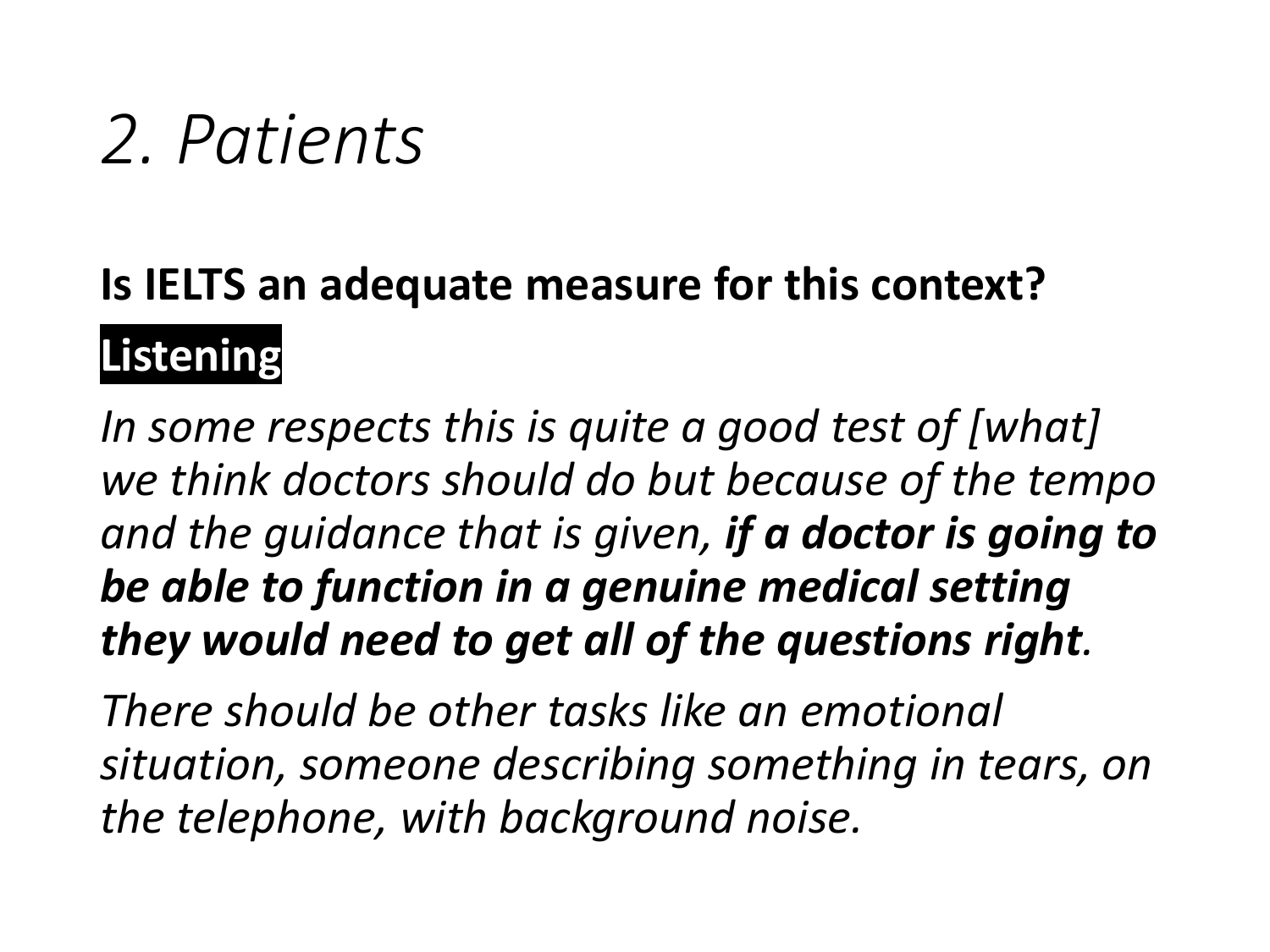### **Is IELTS an adequate measure for this context? Listening**

*In some respects this is quite a good test of [what] we think doctors should do but because of the tempo and the guidance that is given, if a doctor is going to be able to function in a genuine medical setting they would need to get all of the questions right.*

*There should be other tasks like an emotional situation, someone describing something in tears, on the telephone, with background noise.*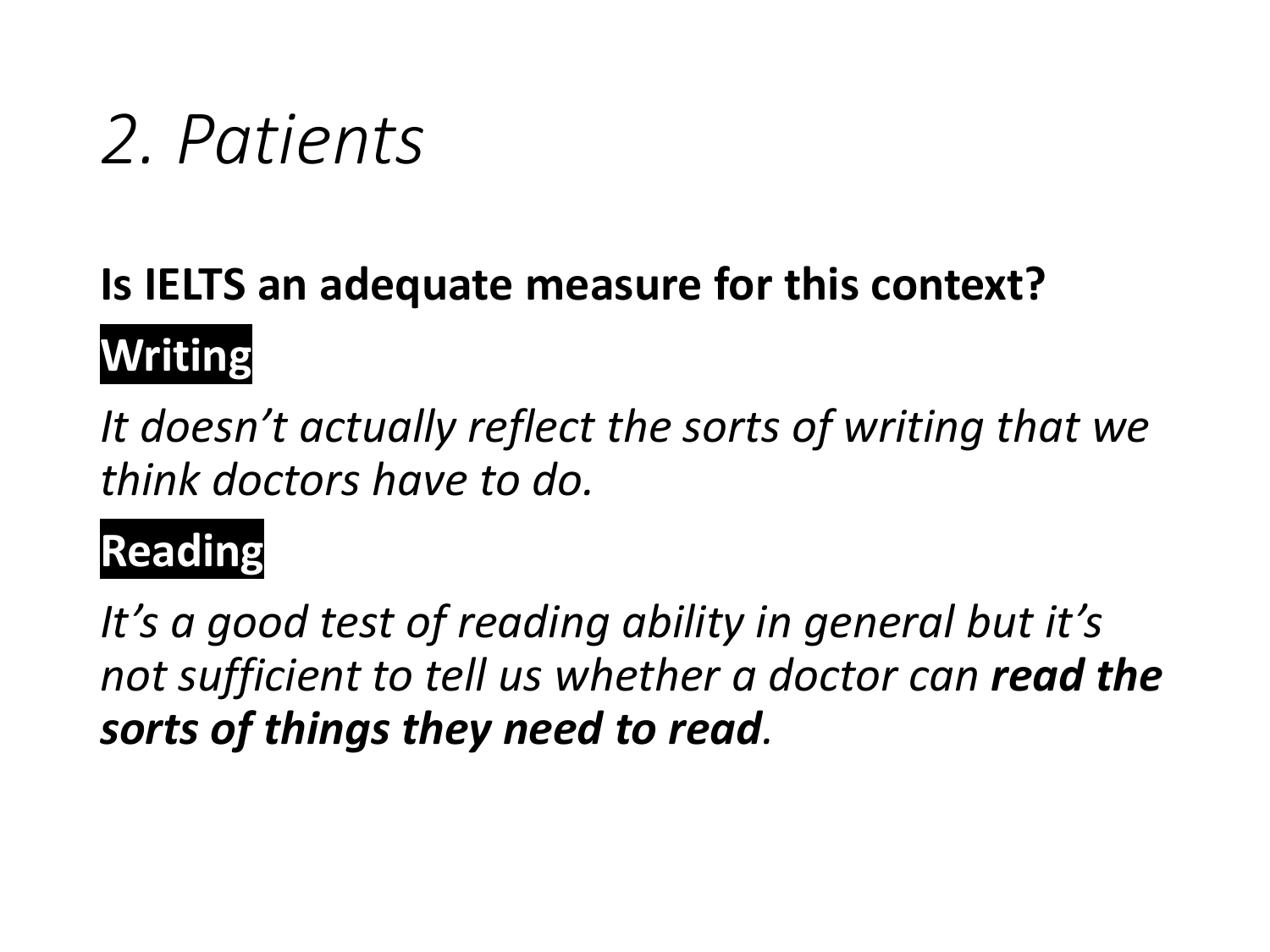### **Is IELTS an adequate measure for this context? Writing**

*It doesn't actually reflect the sorts of writing that we think doctors have to do.*

### **Reading**

*It's a good test of reading ability in general but it's not sufficient to tell us whether a doctor can read the sorts of things they need to read.*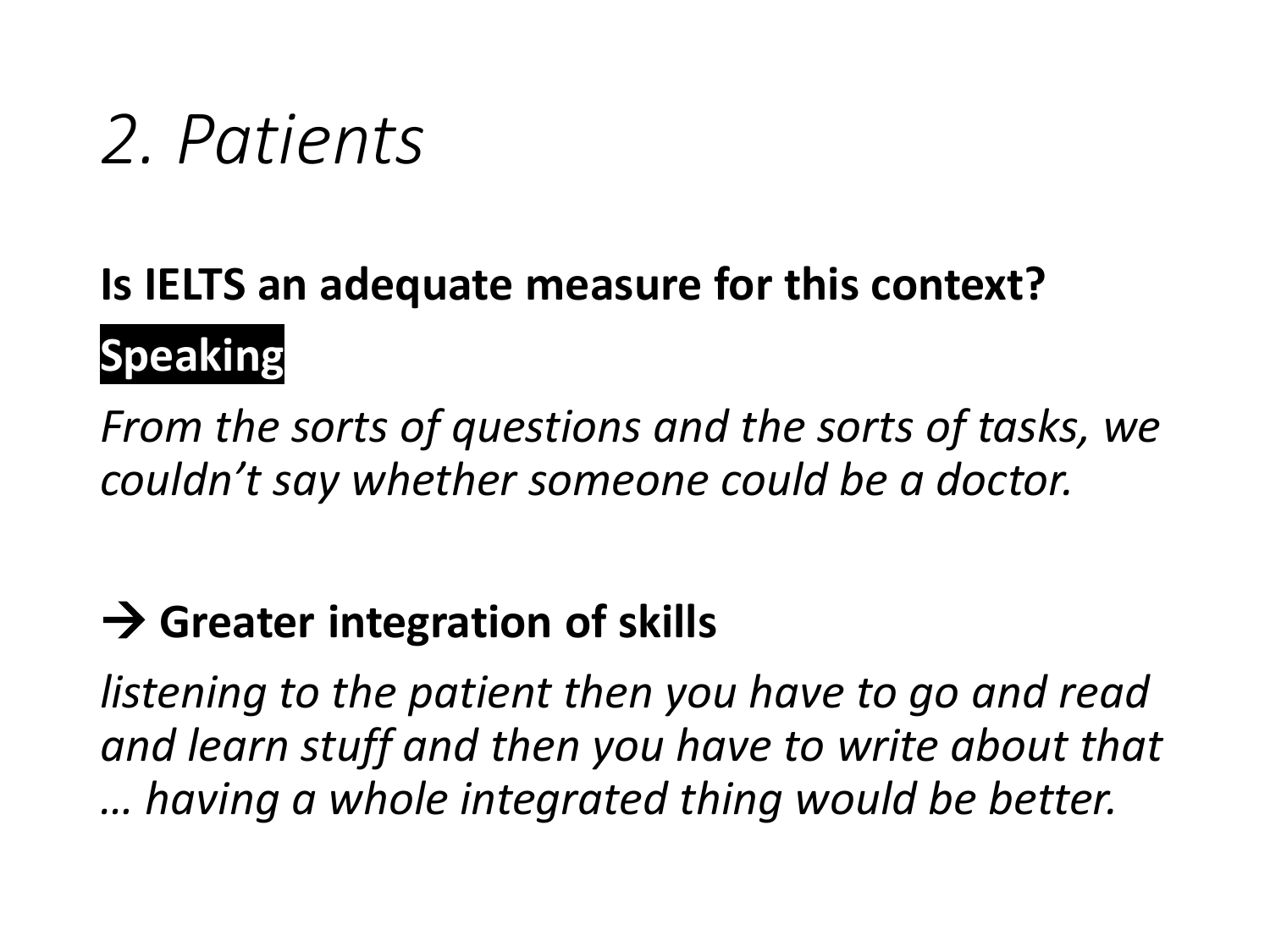### **Is IELTS an adequate measure for this context? Speaking**

*From the sorts of questions and the sorts of tasks, we couldn't say whether someone could be a doctor.*

#### **→ Greater integration of skills**

*listening to the patient then you have to go and read and learn stuff and then you have to write about that … having a whole integrated thing would be better.*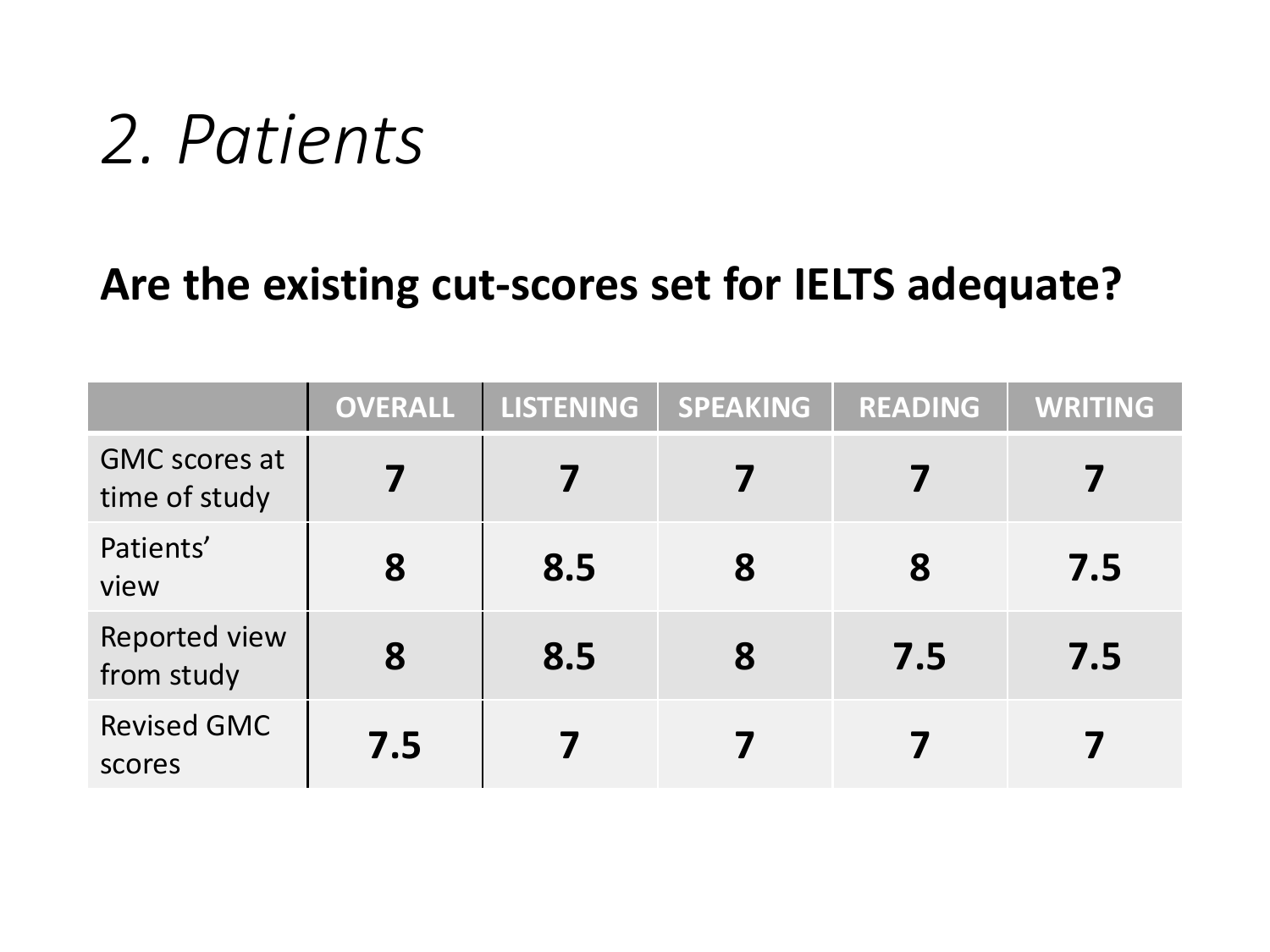#### **Are the existing cut-scores set for IELTS adequate?**

|                                       | <b>OVERALL</b> | LISTENING | <b>SPEAKING</b> | <b>READING</b> | <b>WRITING</b> |
|---------------------------------------|----------------|-----------|-----------------|----------------|----------------|
| <b>GMC</b> scores at<br>time of study |                |           |                 |                |                |
| Patients'<br>view                     | 8              | 8.5       | 8               | 8              | 7.5            |
| Reported view<br>from study           | 8              | 8.5       | 8               | 7.5            | 7.5            |
| <b>Revised GMC</b><br>scores          | 7.5            |           |                 |                |                |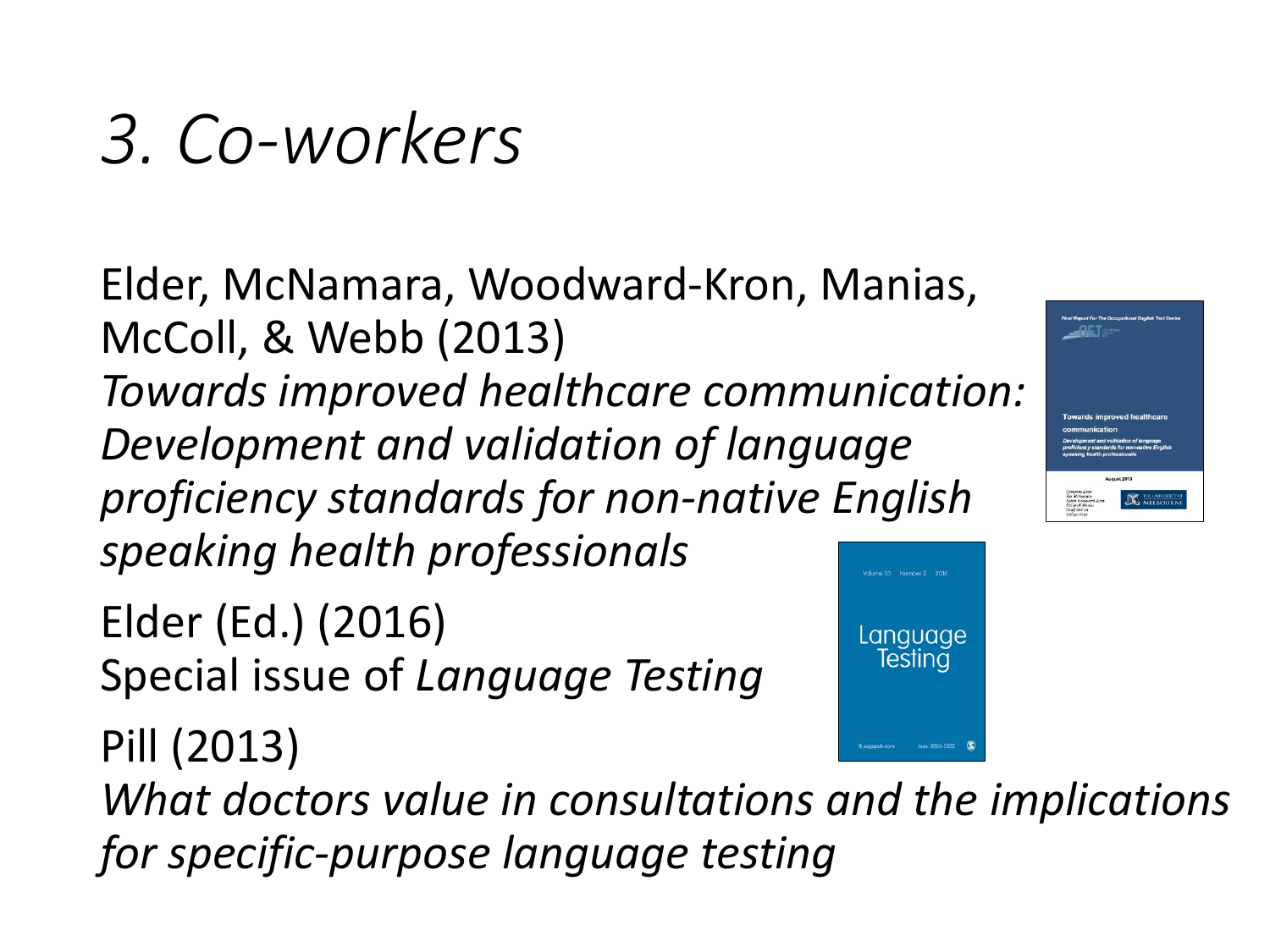Pill (2013)

Elder, McNamara, Woodward-Kron, Manias, McColl, & Webb (2013) *Towards improved healthcare communication: Development and validation of language proficiency standards for non-native English speaking health professionals*

Elder (Ed.) (2016) Special issue of *Language Testing* Language Testing

*What doctors value in consultations and the implications for specific-purpose language testing*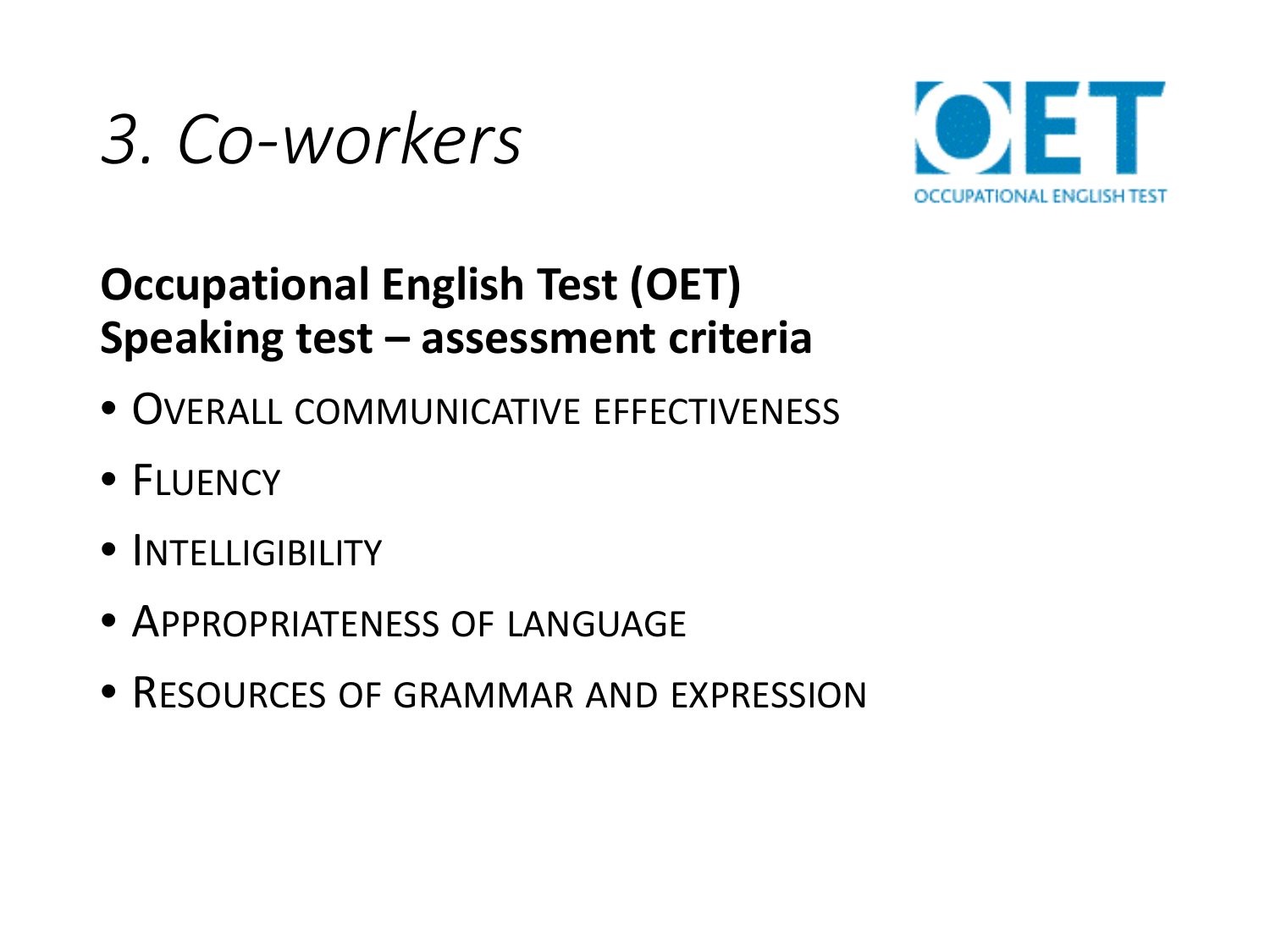

#### **Occupational English Test (OET) Speaking test – assessment criteria**

- OVERALL COMMUNICATIVE EFFECTIVENESS
- FLUENCY
- INTELLIGIBILITY
- APPROPRIATENESS OF LANGUAGE
- RESOURCES OF GRAMMAR AND EXPRESSION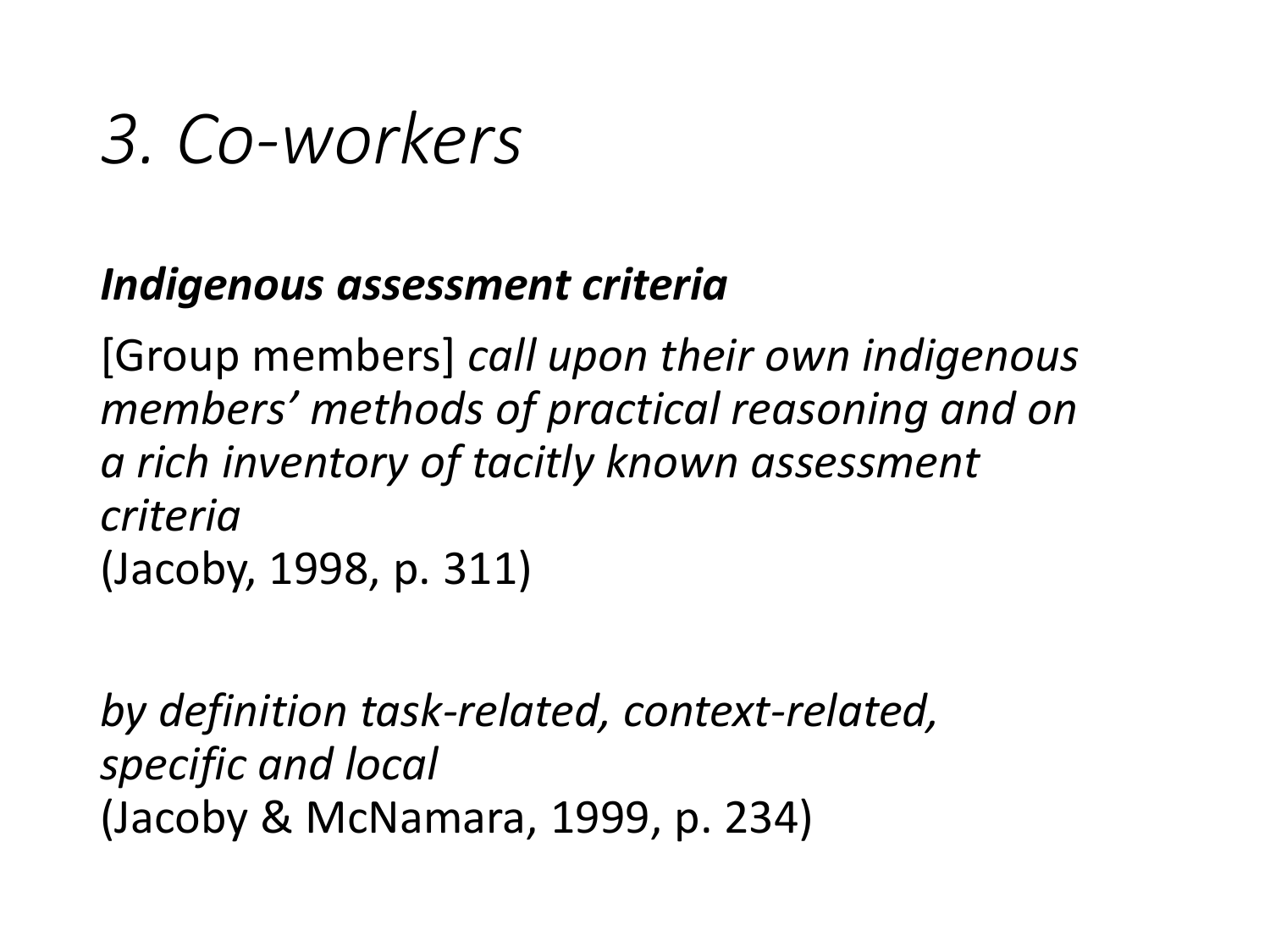#### *Indigenous assessment criteria*

[Group members] *call upon their own indigenous members' methods of practical reasoning and on a rich inventory of tacitly known assessment criteria* (Jacoby, 1998, p. 311)

*by definition task-related, context-related, specific and local* (Jacoby & McNamara, 1999, p. 234)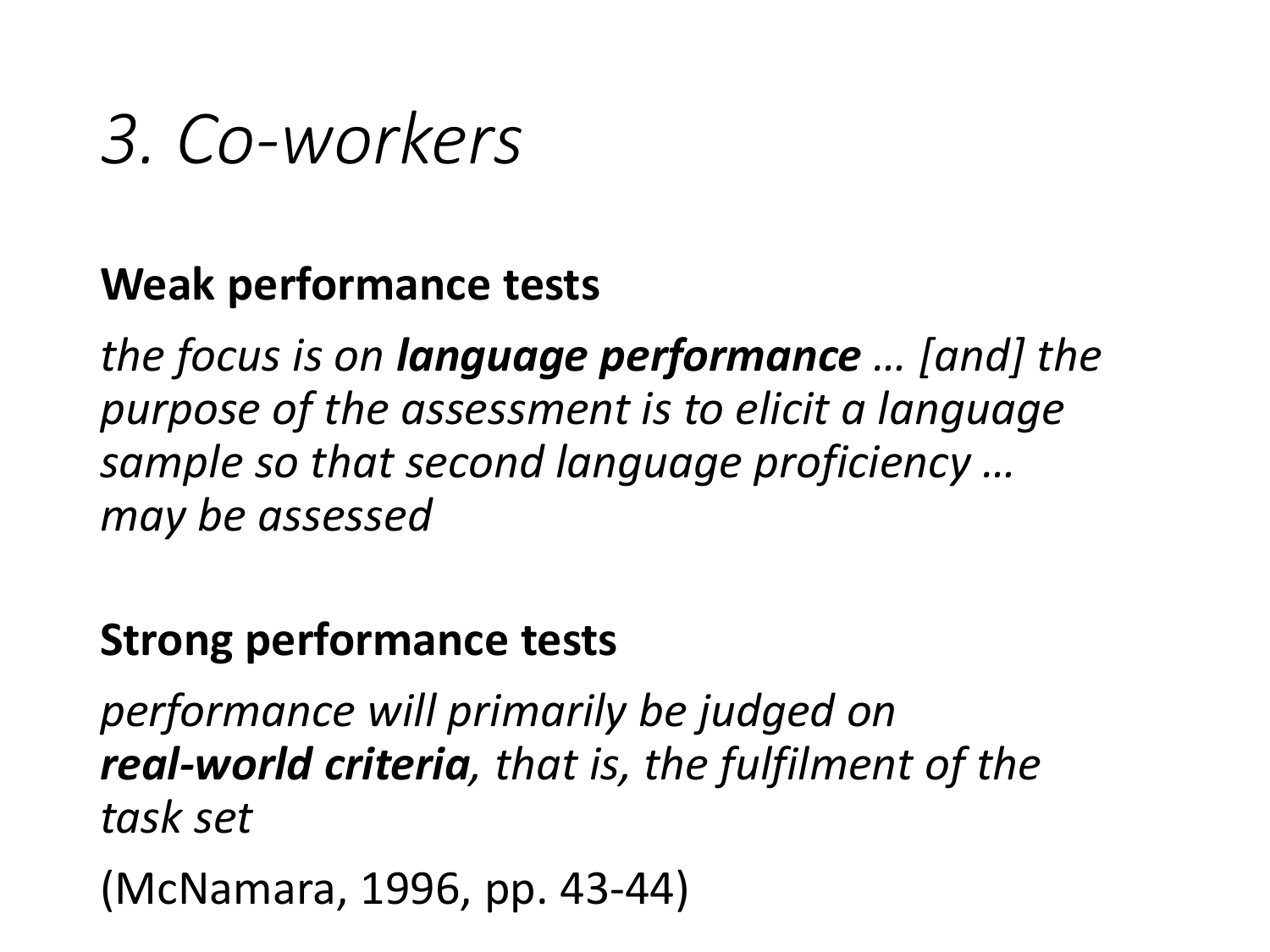#### **Weak performance tests**

*the focus is on language performance … [and] the purpose of the assessment is to elicit a language sample so that second language proficiency … may be assessed*

#### **Strong performance tests**

*performance will primarily be judged on real-world criteria, that is, the fulfilment of the task set*

(McNamara, 1996, pp. 43-44)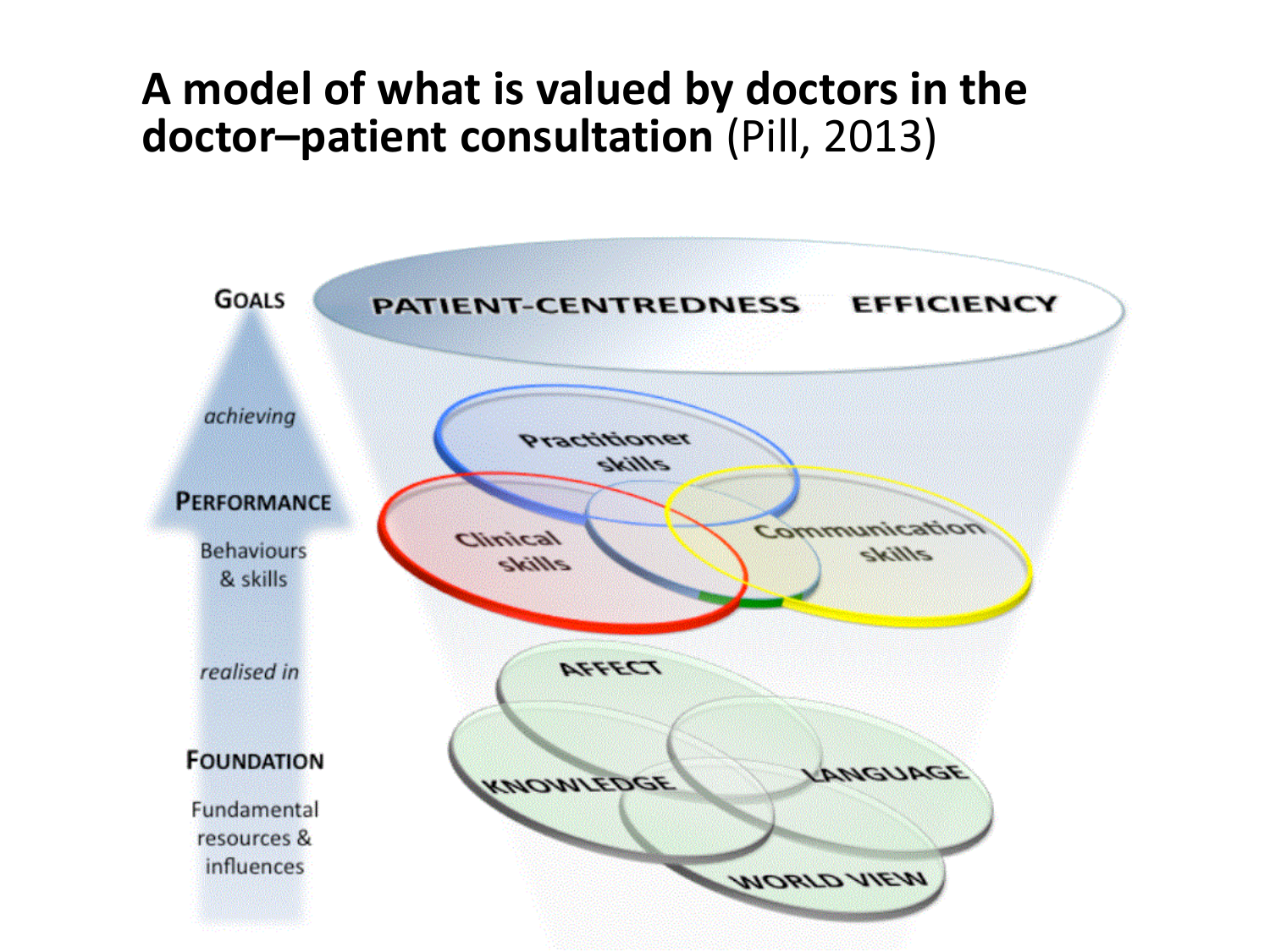#### **A model of what is valued by doctors in the doctor–patient consultation** (Pill, 2013)

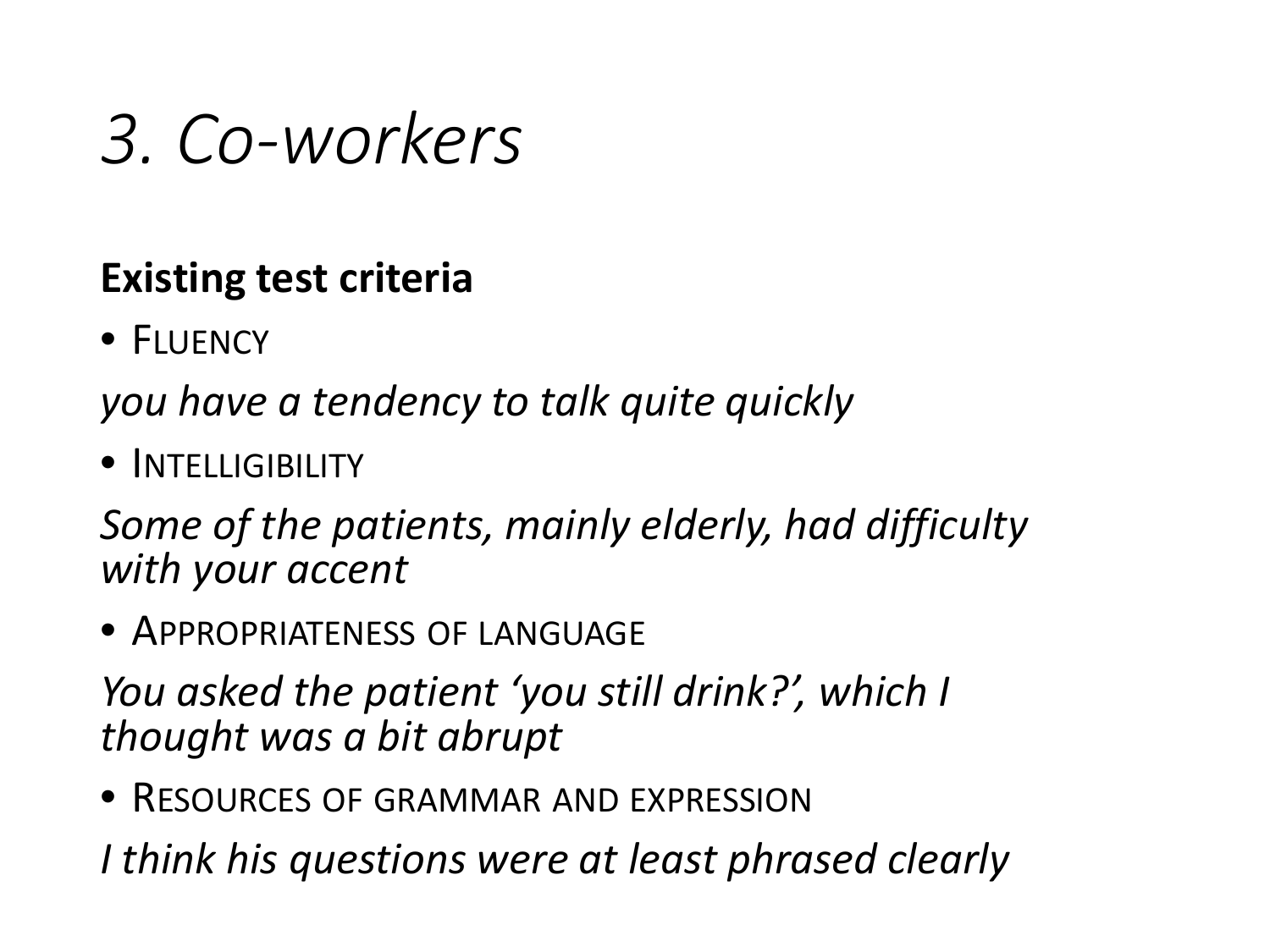#### **Existing test criteria**

• FLUENCY

*you have a tendency to talk quite quickly*

• INTELLIGIBILITY

*Some of the patients, mainly elderly, had difficulty with your accent*

• APPROPRIATENESS OF LANGUAGE

*You asked the patient 'you still drink?', which I thought was a bit abrupt*

• RESOURCES OF GRAMMAR AND EXPRESSION

*I think his questions were at least phrased clearly*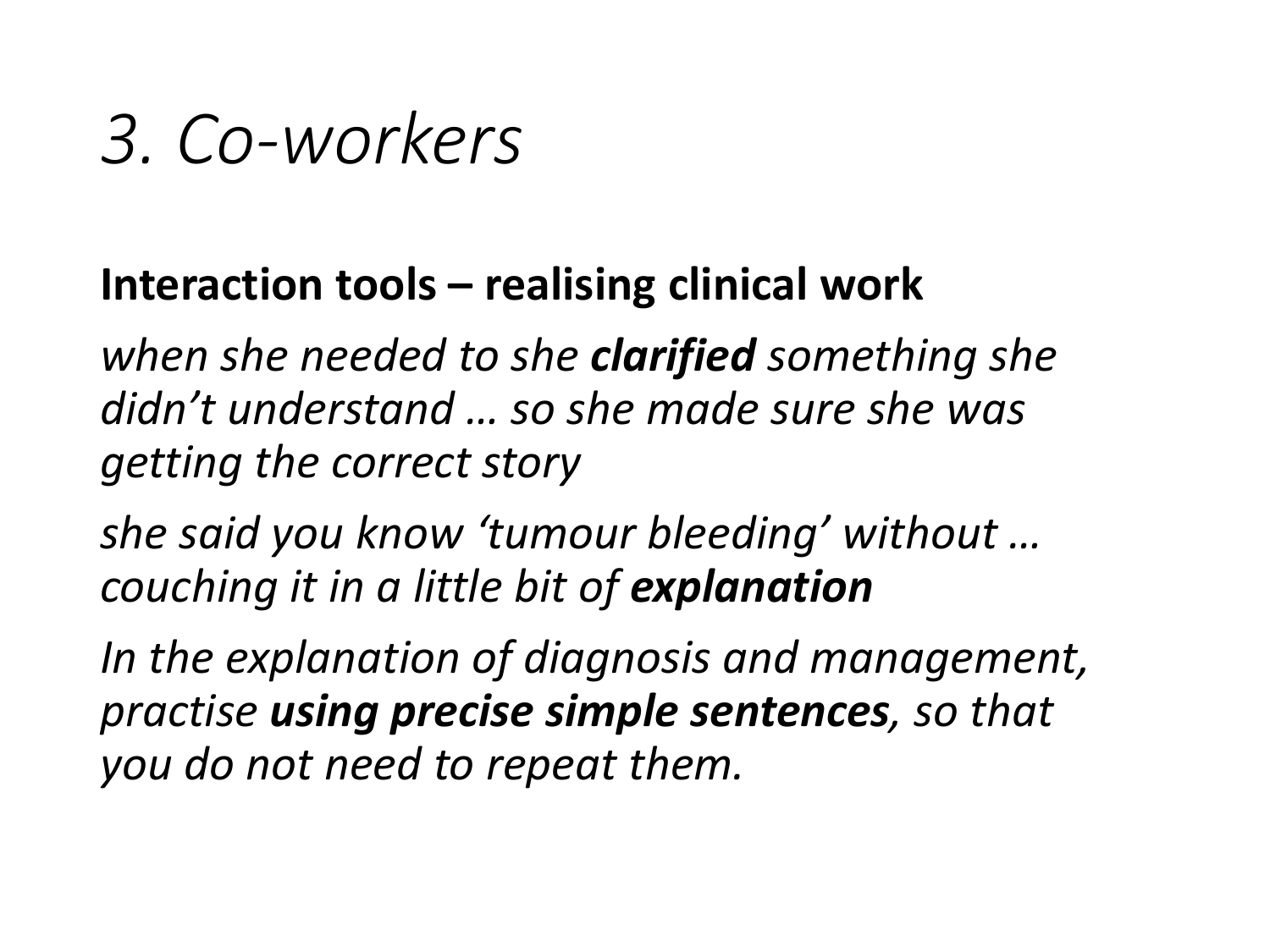#### **Interaction tools – realising clinical work**

*when she needed to she clarified something she didn't understand … so she made sure she was getting the correct story*

*she said you know 'tumour bleeding' without … couching it in a little bit of explanation*

*In the explanation of diagnosis and management, practise using precise simple sentences, so that you do not need to repeat them.*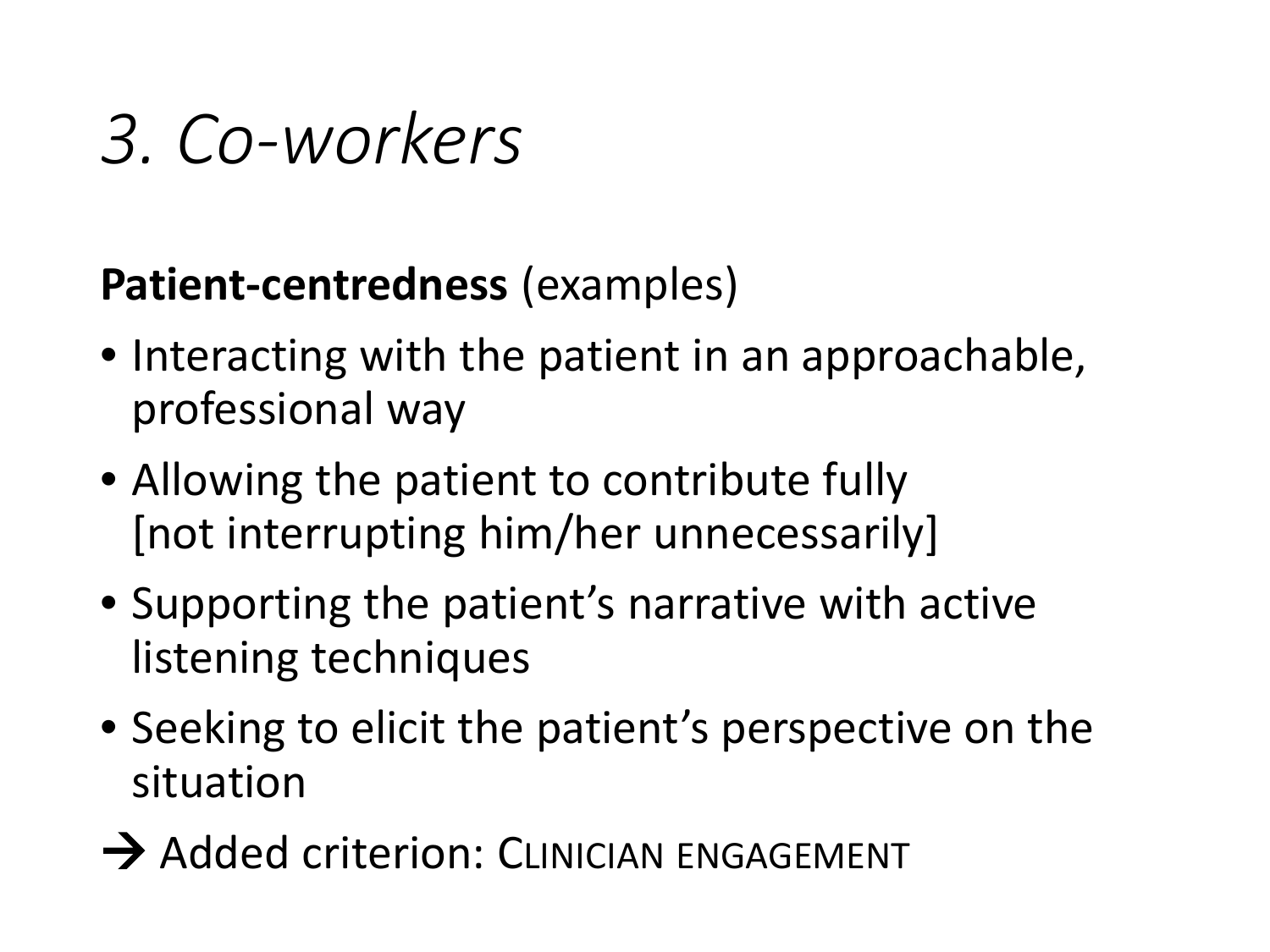#### **Patient-centredness** (examples)

- Interacting with the patient in an approachable, professional way
- Allowing the patient to contribute fully [not interrupting him/her unnecessarily]
- Supporting the patient's narrative with active listening techniques
- Seeking to elicit the patient's perspective on the situation
- $\rightarrow$  Added criterion: CLINICIAN ENGAGEMENT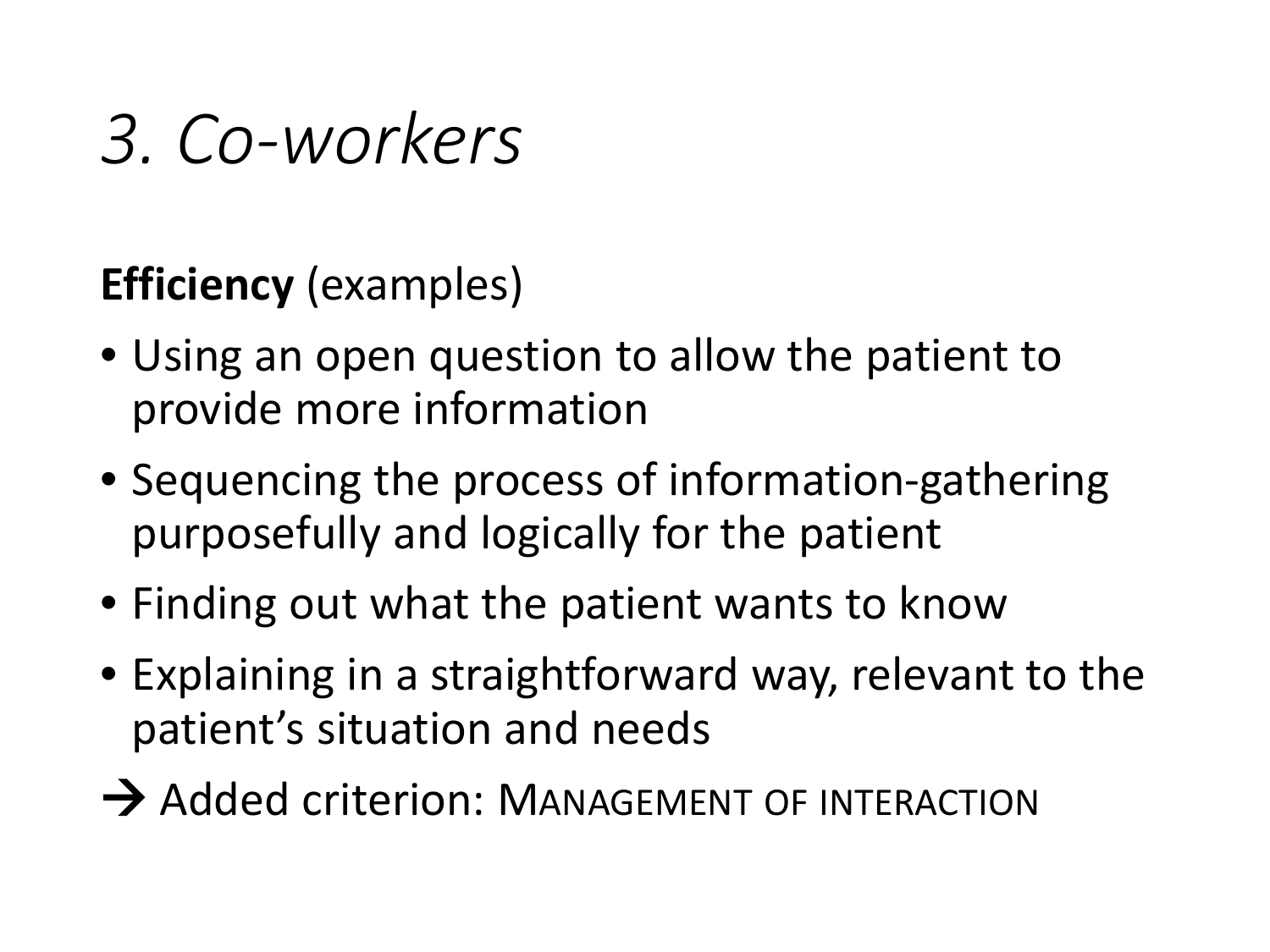#### **Efficiency** (examples)

- Using an open question to allow the patient to provide more information
- Sequencing the process of information-gathering purposefully and logically for the patient
- Finding out what the patient wants to know
- Explaining in a straightforward way, relevant to the patient's situation and needs
- $\rightarrow$  Added criterion: MANAGEMENT OF INTERACTION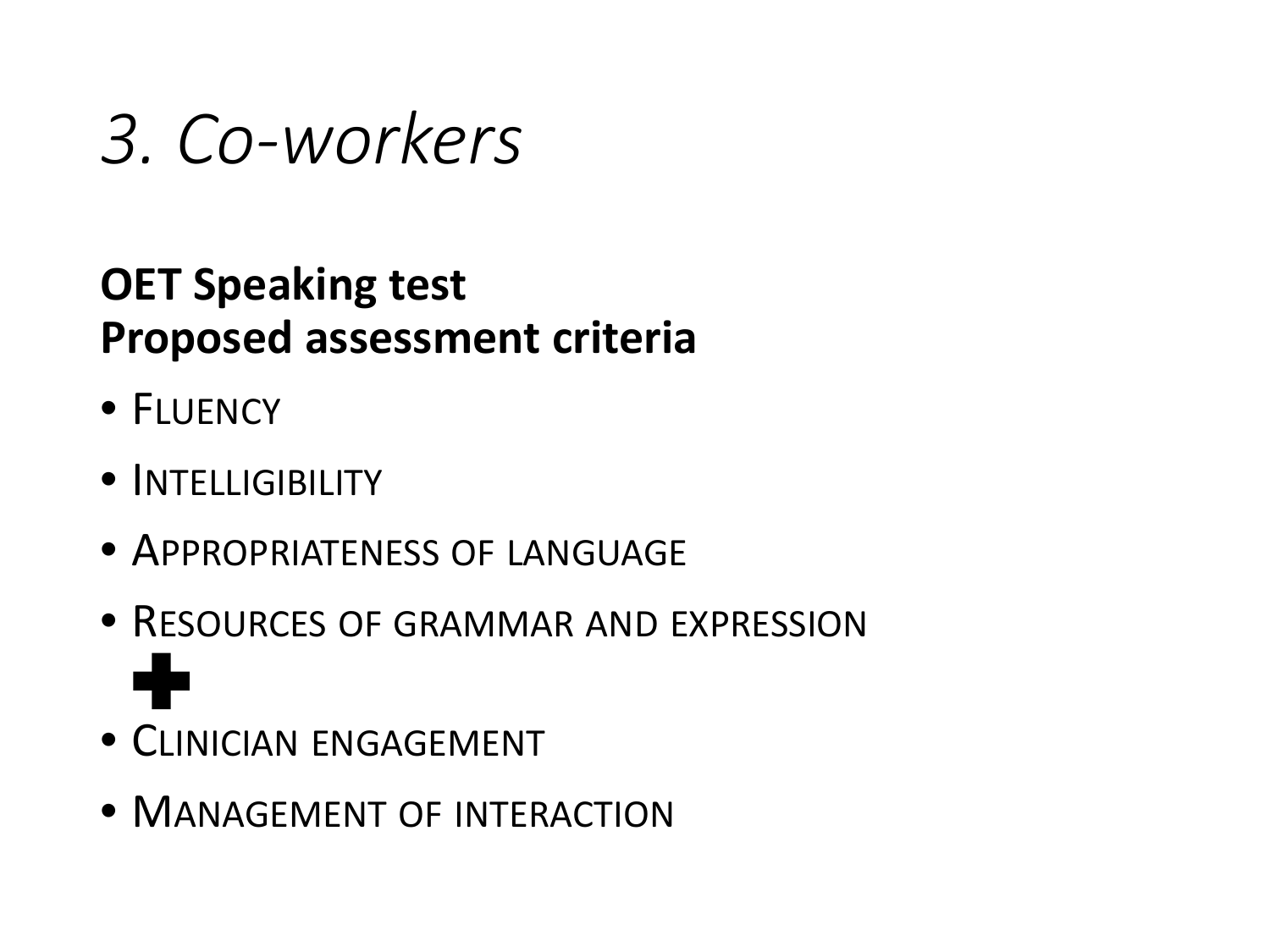#### **OET Speaking test Proposed assessment criteria**

- FLUENCY
- INTELLIGIBILITY
- APPROPRIATENESS OF LANGUAGE
- RESOURCES OF GRAMMAR AND EXPRESSION d.
- CLINICIAN ENGAGEMENT
- MANAGEMENT OF INTERACTION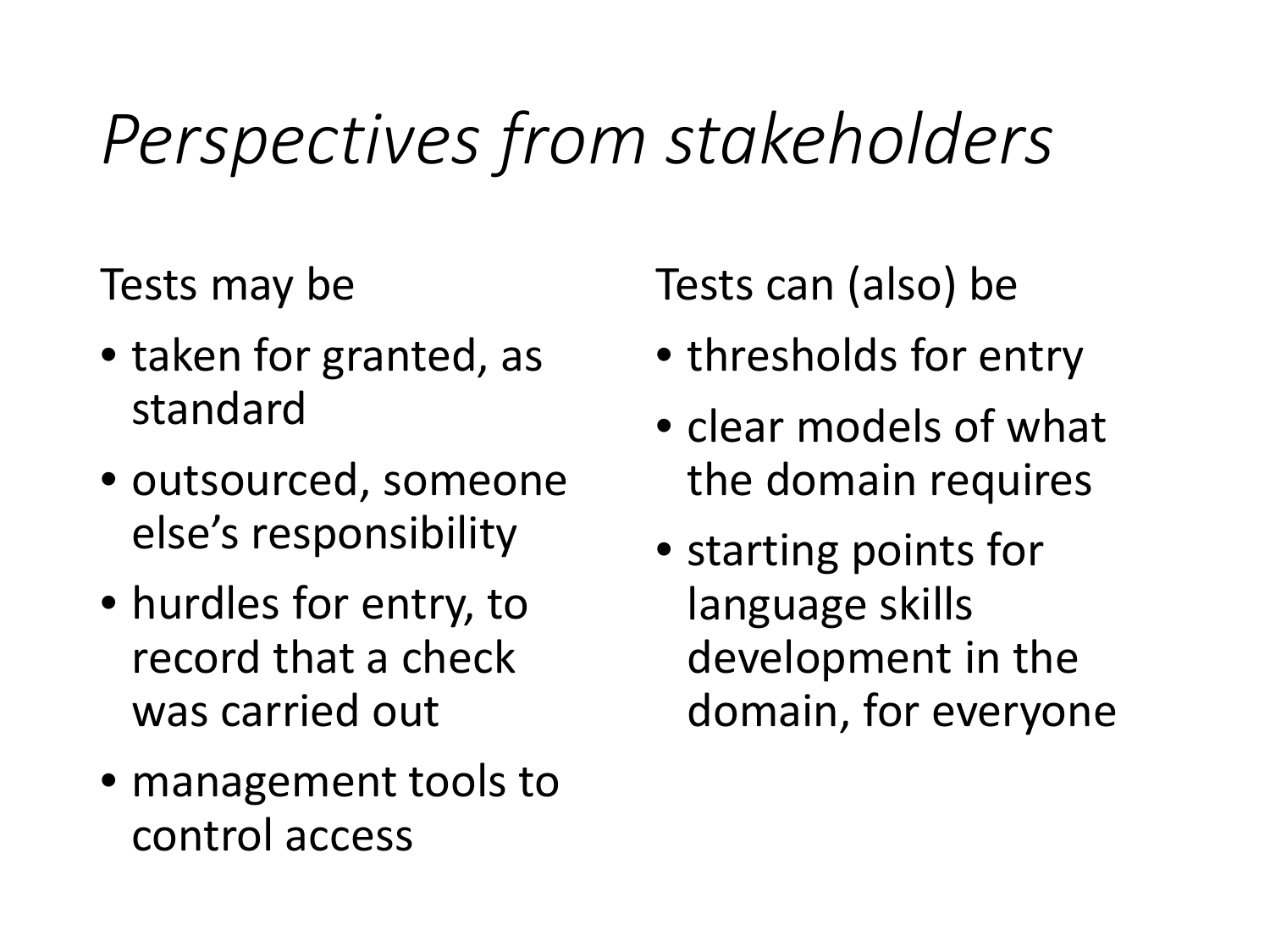### *Perspectives from stakeholders*

Tests may be

- taken for granted, as standard
- outsourced, someone else's responsibility
- hurdles for entry, to record that a check was carried out
- management tools to control access

Tests can (also) be

- thresholds for entry
- clear models of what the domain requires
- starting points for language skills development in the domain, for everyone